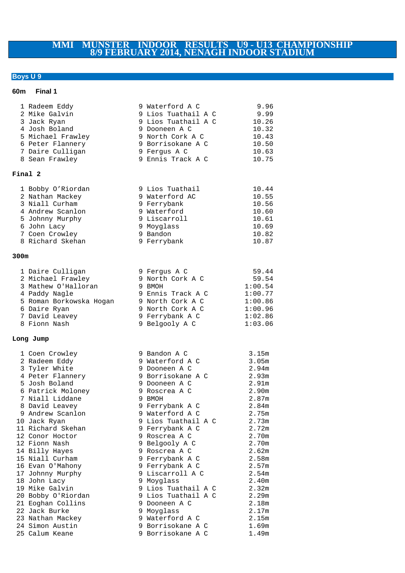# **MMI MUNSTER INDOOR RESULTS U9 - U13 CHAMPIONSHIP 8/9 FEBRUARY 2014, NENAGH INDOOR STADIUM**

# **Boys U 9**

## **60m Final 1**

|         | 1 Radeem Eddy<br>2 Mike Galvin<br>3 Jack Ryan<br>4 Josh Boland<br>5 Michael Frawley<br>6 Peter Flannery                                                    | 9 Waterford A C<br>9 Lios Tuathail A C<br>9 Lios Tuathail A C<br>9 Dooneen A C<br>9 North Cork A C<br>9 Borrisokane A C                      | 9.96<br>9.99<br>10.26<br>10.32<br>10.43<br>10.50                                 |
|---------|------------------------------------------------------------------------------------------------------------------------------------------------------------|----------------------------------------------------------------------------------------------------------------------------------------------|----------------------------------------------------------------------------------|
|         | 7 Daire Culligan<br>8 Sean Frawley                                                                                                                         | 9 Fergus A C<br>9 Ennis Track A C                                                                                                            | 10.63<br>10.75                                                                   |
| Final 2 |                                                                                                                                                            |                                                                                                                                              |                                                                                  |
|         | 1 Bobby O'Riordan<br>2 Nathan Mackey<br>3 Niall Curham<br>4 Andrew Scanlon<br>5 Johnny Murphy<br>6 John Lacy<br>7 Coen Crowley<br>8 Richard Skehan         | 9 Lios Tuathail<br>9 Waterford AC<br>9 Ferrybank<br>9 Waterford<br>9 Liscarroll<br>9 Moyglass<br>9 Bandon<br>9 Ferrybank                     | 10.44<br>10.55<br>10.56<br>10.60<br>10.61<br>10.69<br>10.82<br>10.87             |
| 300m    |                                                                                                                                                            |                                                                                                                                              |                                                                                  |
|         | 1 Daire Culligan<br>2 Michael Frawley<br>3 Mathew O'Halloran<br>4 Paddy Nagle<br>5 Roman Borkowska Hogan<br>6 Daire Ryan<br>7 David Leavey<br>8 Fionn Nash | 9 Fergus A C<br>9 North Cork A C<br>9 BMOH<br>9 Ennis Track A C<br>9 North Cork A C<br>9 North Cork A C<br>9 Ferrybank A C<br>9 Belgooly A C | 59.44<br>59.54<br>1:00.54<br>1:00.77<br>1:00.86<br>1:00.96<br>1:02.86<br>1:03.06 |
|         | Long Jump                                                                                                                                                  |                                                                                                                                              |                                                                                  |
|         | 1 Coen Crowley<br>2 Radeem Eddy<br>3 Tyler White<br>4 Peter Flannery<br>5 Josh Boland                                                                      | 9 Bandon A C<br>9 Waterford A C<br>9 Dooneen A C<br>9 Borrisokane A C                                                                        | 3.15m<br>3.05m<br>2.94m<br>2.93m                                                 |
|         | 6 Patrick Moloney<br>7 Niall Liddane<br>8 David Leavey                                                                                                     | 9 Dooneen A C<br>9 Roscrea A C<br>9 BMOH<br>9 Ferrybank A C                                                                                  | 2.91 <sub>m</sub><br>2.90 <sub>m</sub><br>2.87m<br>2.84m                         |
|         | 9 Andrew Scanlon<br>10 Jack Ryan<br>11 Richard Skehan<br>12 Conor Hoctor                                                                                   | 9 Waterford A C<br>9 Lios Tuathail A C<br>9 Ferrybank A C<br>9 Roscrea A C                                                                   | 2.75m<br>2.73m<br>2.72m<br>2.70m                                                 |
|         | 12 Fionn Nash<br>14 Billy Hayes<br>15 Niall Curham<br>16 Evan O'Mahony                                                                                     | 9 Belgooly A C<br>9 Roscrea A C<br>9 Ferrybank A C<br>9 Ferrybank A C                                                                        | 2.70m<br>2.62m<br>2.58m<br>2.57m                                                 |
|         | 17 Johnny Murphy<br>18 John Lacy<br>19 Mike Galvin<br>20 Bobby O'Riordan                                                                                   | 9 Liscarroll A C<br>9 Moyglass<br>9 Lios Tuathail A C<br>9 Lios Tuathail A C                                                                 | 2.54m<br>2.40m<br>2.32m<br>2.29m                                                 |
|         | 21 Eoghan Collins<br>22 Jack Burke<br>23 Nathan Mackey<br>24 Simon Austin                                                                                  | 9 Dooneen A C<br>9 Moyglass<br>9 Waterford A C<br>9 Borrisokane A C                                                                          | 2.18m<br>2.17m<br>2.15m<br>1.69m                                                 |
|         | 25 Calum Keane                                                                                                                                             | 9 Borrisokane A C                                                                                                                            | 1.49m                                                                            |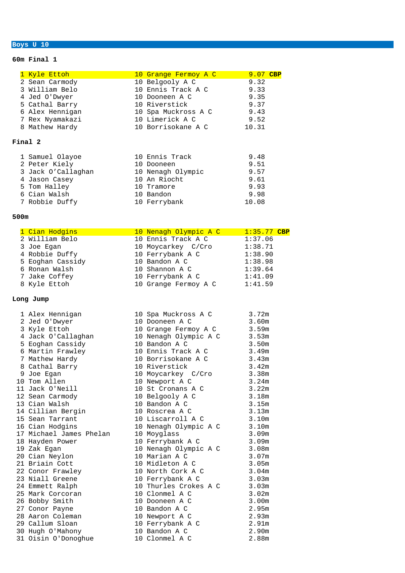#### **Boys U 10**

#### **60m Final 1**

|      | 1 Kyle Ettoh                     | 10 Grange Fermoy A C                                   | 9.07 CBP      |
|------|----------------------------------|--------------------------------------------------------|---------------|
|      | 2 Sean Carmody                   | 10 Belgooly A C<br>9.32                                |               |
|      | 3 William Belo                   | 10 Ennis Track A C<br>9.33                             |               |
|      | 4 Jed O'Dwyer                    | 10 Dooneen A C<br>9.35                                 |               |
|      | 5 Cathal Barry                   | 10 Riverstick<br>9.37                                  |               |
|      | 6 Alex Hennigan                  | 9.43<br>10 Spa Muckross A C                            |               |
|      | 7 Rex Nyamakazi                  | 10 Limerick A C<br>9.52                                |               |
|      | 8 Mathew Hardy                   | 10 Borrisokane A C<br>10.31                            |               |
|      | Final 2                          |                                                        |               |
|      | 1 Samuel Olayoe                  | 10 Ennis Track<br>9.48                                 |               |
|      | 2 Peter Kiely                    | 9.51<br>10 Dooneen                                     |               |
|      | 3 Jack O'Callaghan               | 9.57<br>10 Nenagh Olympic                              |               |
|      | 4 Jason Casey                    | 10 An Riocht<br>9.61                                   |               |
|      | 5 Tom Halley                     | 10 Tramore<br>9.93                                     |               |
|      | 6 Cian Walsh                     | 10 Bandon<br>9.98                                      |               |
|      | 7 Robbie Duffy                   | 10 Ferrybank<br>10.08                                  |               |
| 500m |                                  |                                                        |               |
|      |                                  |                                                        |               |
|      | 1 Cian Hodgins<br>2 William Belo | 10 Nenagh Olympic A C<br>10 Ennis Track A C<br>1:37.06 | $1:35.77$ CBP |
|      | 3 Joe Egan                       | 10 Moycarkey C/Cro<br>1:38.71                          |               |
|      | 4 Robbie Duffy                   | 10 Ferrybank A C<br>1:38.90                            |               |
|      | 5 Eoghan Cassidy                 | 10 Bandon A C<br>1:38.98                               |               |
|      | 6 Ronan Walsh                    | 10 Shannon A C<br>1:39.64                              |               |
|      | 7 Jake Coffey                    | 10 Ferrybank A C<br>1:41.09                            |               |
|      | 8 Kyle Ettoh                     | 10 Grange Fermoy A C<br>1:41.59                        |               |
|      |                                  |                                                        |               |
|      | Long Jump                        |                                                        |               |
|      | 1 Alex Hennigan                  | 3.72m<br>10 Spa Muckross A C                           |               |
|      | 2 Jed O'Dwyer                    | 10 Dooneen A C<br>3.60m                                |               |
|      | 3 Kyle Ettoh                     | 10 Grange Fermoy A C<br>3.59m                          |               |
|      | 4 Jack O'Callaghan               | 10 Nenagh Olympic A C<br>3.53m                         |               |
|      | 5 Eoghan Cassidy                 | 10 Bandon A C<br>3.50m                                 |               |
|      | 6 Martin Frawley                 | 10 Ennis Track A C<br>3.49m                            |               |
|      | 7 Mathew Hardy                   | 10 Borrisokane A C<br>3.43m                            |               |
|      | 8 Cathal Barry                   | 10 Riverstick<br>3.42m                                 |               |
|      | 9 Joe Egan                       | 10 Moycarkey C/Cro<br>3.38m                            |               |
|      | 10 Tom Allen                     | 3.24m<br>10 Newport A C                                |               |
|      | 11 Jack O'Neill                  | 10 St Cronans A C<br>3.22m                             |               |
|      | 12 Sean Carmody                  | 10 Belgooly A C<br>3.18m                               |               |
|      | 13 Cian Walsh                    | 10 Bandon A C<br>3.15m                                 |               |
|      | 14 Cillian Bergin                | 10 Roscrea A C<br>3.13m                                |               |
|      | 15 Sean Tarrant                  | 10 Liscarroll A C<br>3.10m                             |               |
|      | 16 Cian Hodgins                  | 10 Nenagh Olympic A C<br>3.10m                         |               |
|      | 17 Michael James Phelan          | 10 Moyglass<br>3.09m                                   |               |
|      | 18 Hayden Power                  | 10 Ferrybank A C<br>3.09m                              |               |
|      | 19 Zak Egan                      | 10 Nenagh Olympic A C<br>3.08m                         |               |
|      | 20 Cian Neylon                   | 10 Marian A C<br>3.07m                                 |               |
|      | 21 Briain Cott                   | 10 Midleton A C<br>3.05m                               |               |

 Conor Frawley 10 North Cork A C 3.04m 23 Niall Greene 10 Ferrybank A C 3.03m Emmett Ralph 10 Thurles Crokes A C 3.03m Mark Corcoran 10 Clonmel A C 3.02m Bobby Smith 10 Dooneen A C 3.00m Conor Payne 10 Bandon A C 2.95m Aaron Coleman 10 Newport A C 2.93m Callum Sloan 10 Ferrybank A C 2.91m Hugh O'Mahony 10 Bandon A C 2.90m

31 Oisin O'Donoghue 10 Clonmel A C 2.88m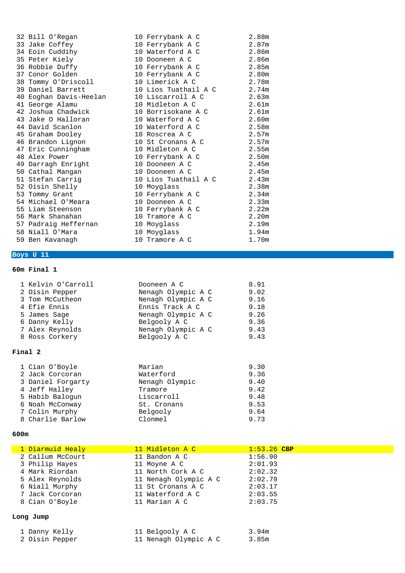| 32 Bill O'Regan        | 10 Ferrybank A C     | 2.88m             |
|------------------------|----------------------|-------------------|
| 33 Jake Coffey         | 10 Ferrybank A C     | 2.87m             |
| 34 Eoin Cuddihy        | 10 Waterford A C     | 2.86 <sub>m</sub> |
| 35 Peter Kiely         | 10 Dooneen A C       | 2.86m             |
| 36 Robbie Duffy        | 10 Ferrybank A C     | 2.85m             |
| 37 Conor Golden        | 10 Ferrybank A C     | 2.80 <sub>m</sub> |
| 38 Tommy O'Driscoll    | 10 Limerick A C      | 2.78m             |
| 39 Daniel Barrett      | 10 Lios Tuathail A C | 2.74m             |
| 40 Eoghan Davis-Heelan | 10 Liscarroll A C    | 2.63m             |
| 41 George Alamu        | 10 Midleton A C      | 2.61m             |
| 42 Joshua Chadwick     | 10 Borrisokane A C   | 2.61m             |
| 43 Jake O Halloran     | 10 Waterford A C     | 2.60m             |
| 44 David Scanlon       | 10 Waterford A C     | 2.58m             |
| 45 Graham Dooley       | 10 Roscrea A C       | 2.57m             |
| 46 Brandon Lignon      | 10 St Cronans A C    | 2.57m             |
| 47 Eric Cunningham     | 10 Midleton A C      | 2.55m             |
| 48 Alex Power          | 10 Ferrybank A C     | 2.50m             |
| 49 Darragh Enright     | 10 Dooneen A C       | 2.45m             |
| 50 Cathal Mangan       | 10 Dooneen A C       | 2.45m             |
| 51 Stefan Carrig       | 10 Lios Tuathail A C | 2.43m             |
| 52 Oisin Shelly        | 10 Moyglass          | 2.38m             |
| 53 Tommy Grant         | 10 Ferrybank A C     | 2.34m             |
| 54 Michael O'Meara     | 10 Dooneen A C       | 2.33m             |
| 55 Liam Steenson       | 10 Ferrybank A C     | 2.22m             |
| 56 Mark Shanahan       | 10 Tramore A C       | 2.20 <sub>m</sub> |
| 57 Padraig Heffernan   | 10 Moyglass          | 2.19m             |
| 58 Niall O'Mara        | 10 Moyglass          | 1.94m             |
| 59 Ben Kavanagh        | 10 Tramore A C       | 1.70m             |

# **Boys U 11**

# **60m Final 1**

| 1 Kelvin O'Carroll | Dooneen A C        | 8.91 |
|--------------------|--------------------|------|
| 2 Oisin Pepper     | Nenagh Olympic A C | 9.02 |
| 3 Tom McCutheon    | Nenagh Olympic A C | 9.16 |
| 4 Efie Ennis       | Ennis Track A C    | 9.18 |
| 5 James Sage       | Nenagh Olympic A C | 9.26 |
| 6 Danny Kelly      | Belgooly A C       | 9.36 |
| 7 Alex Reynolds    | Nenagh Olympic A C | 9.43 |
| 8 Ross Corkery     | Belgooly A C       | 9.43 |
| Final 2            |                    |      |
| 1 Cian O'Boyle     | Marian             | 9.30 |
| 2 Jack Corcoran    | Waterford          | 9.36 |
| 3 Daniel Forgarty  | Nenagh Olympic     | 9.40 |
| 4 Jeff Halley      | Tramore            | 9.42 |
| 5 Habib Balogun    | Liscarroll         | 9.48 |
| 6 Noah McConway    | St. Cronans        | 9.53 |
| 7 Colin Murphy     | Belgooly           | 9.64 |

8 Charlie Barlow Clonmel 9.73

| 1 Diarmuid Healy | 11 Midleton A C       | $1:53.26$ CBP |
|------------------|-----------------------|---------------|
| 2 Callum McCourt | 11 Bandon A C         | 1:56.90       |
| 3 Philip Hayes   | 11 Moyne A C          | 2:01.93       |
| 4 Mark Riordan   | 11 North Cork A C     | 2:02.32       |
| 5 Alex Reynolds  | 11 Nenagh Olympic A C | 2:02.79       |
| 6 Niall Murphy   | 11 St Cronans A C     | 2:03.17       |
| 7 Jack Corcoran  | 11 Waterford A C      | 2:03.55       |
| 8 Cian O'Boyle   | 11 Marian A C         | 2:03.75       |
|                  |                       |               |
| Long Jump        |                       |               |

| 1 Danny Kelly |                | 11 Belgooly A C       | 3.94m |
|---------------|----------------|-----------------------|-------|
|               | 2 Oisin Pepper | 11 Nenagh Olympic A C | 3.85m |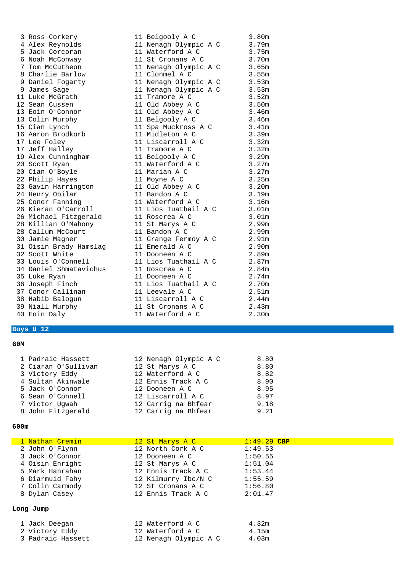| 3               | Ross Corkery                  |
|-----------------|-------------------------------|
| $\overline{4}$  | Alex Reynolds                 |
| 5               | Jack Corcoran                 |
| $\epsilon$      | Noah McConway                 |
| 7               | Tom McCutheon                 |
| 8               | Charlie Barlow                |
| 9               | Daniel Fogarty                |
| 9               | James Sage                    |
| 11              | Luke McGrath                  |
|                 | 12 Sean Cussen                |
| 13              | Eoin O'Connor                 |
|                 | 13 Colin Murphy               |
|                 | 15 Cian Lynch                 |
| 16              | Aaron Brodkorb                |
| 17              | Lee Foley                     |
| 17              | Jeff Halley                   |
| 19              | Alex Cunningham               |
|                 | 20 Scott Ryan                 |
|                 | 20 Cian O'Boyle               |
|                 | 22 Philip Hayes               |
| 23              | Gavin Harrington              |
| 24              | Henry Obilar                  |
|                 | 25 Conor Fanning              |
| 26              | Kieran O'Carroll              |
| 26              | Michael Fitzgerald            |
| 28              | Killian O'Mahony              |
|                 | 28 Callum McCourt             |
| 30 <sub>o</sub> | Jamie Magner                  |
|                 | 31 Oisin Brady Hamslag        |
|                 | 32 Scott White                |
| 33              | Louis O'Connell               |
| 34              | Daniel Shmatavichus           |
| 35              | Luke Ryan                     |
| 36              | Joseph Finch                  |
|                 | 37 Conor Callinan             |
| 38              | Habib Balogun<br>Niall Murphy |
| 39              |                               |
| 40              | Eoin Daly                     |

#### 11 Belgooly A C 3.80m<br>11 Nenagh Olympic A C 3.79m 11 Nenagh Olympic A C 3.79m<br>11 Waterford A C 3.75m 11 Waterford A C 3.75m<br>11 St Cronans A C 3.70m 11 St Cronans A C 3.70m<br>11 Nenagh Olympic A C 3.65m 11 Nenagh Olympic A C 11 Clonmel A C 3.55m 11 Nenagh Olympic A C 3.53m 11 Nenagh Olympic A C 3.53m 11 Tramore A C 3.52m 11 Old Abbey A C 3.50m 11 Old Abbey A C 3.46m 11 Belgooly A C 3.46m 11 Spa Muckross A C 3.41m<br>11 Midleton A C 3.39m 11 Midleton A C 3.39m<br>11 Liscarroll A C 3.32m 11 Liscarroll A C 11 Tramore A C 3.32m 11 Belgooly A C 3.29m<br>11 Waterford A C 3.27m 11 Waterford A C 11 Marian A C 3.27m 11 Moyne A C 3.25m<br>11 Old Abbey A C 3.20m 11 Old Abbey A C 11 Bandon A C 3.19m 11 Waterford A C 3.16m<br>11 Lios Tuathail A C 3.01m 11 Lios Tuathail A C 11 Roscrea A C 3.01m 11 St Marys A C 2.99m<br>11 Bandon A C 2.99m 11 Bandon A C 11 Grange Fermoy A C 2.91m 11 Emerald A C 2.90m<br>11 Dooneen A C 2.89m 11 Dooneen A C 11 Lios Tuathail A C 2.87m 11 Roscrea A C 2.84m 11 Dooneen A C 2.74m 11 Lios Tuathail A C 2.70m 11 Leevale A C 2.51m<br>11 Liscarroll A C 2.44m

#### **Boys U 12**

#### **60M**

| 1 Padraic Hassett   | 12 Nenagh Olympic A C | 8.80 |
|---------------------|-----------------------|------|
| 2 Ciaran O'Sullivan | 12 St Marys A C       | 8.80 |
| 3 Victory Eddy      | 12 Waterford A C      | 8.82 |
| 4 Sultan Akinwale   | 12 Ennis Track A C    | 8.90 |
| 5 Jack O'Connor     | 12 Dooneen A C        | 8.95 |
| 6 Sean O'Connell    | 12 Liscarroll A C     | 8.97 |
| 7 Victor Uqwah      | 12 Carrig na Bhfear   | 9.18 |
| 8 John Fitzgerald   | 12 Carrig na Bhfear   | 9.21 |

11 Liscarroll A C

11 St Cronans A C 2.43m 11 Waterford A C 2.30m

| 1 Nathan Cremin | 12 St Marys A C     | $1:49.29$ CBP |  |
|-----------------|---------------------|---------------|--|
| 2 John O'Flynn  | 12 North Cork A C   | 1:49.53       |  |
| 3 Jack O'Connor | 12 Dooneen A C      | 1:50.55       |  |
| 4 Oisin Enright | 12 St Marys A C     | 1:51.04       |  |
| 5 Mark Hanrahan | 12 Ennis Track A C  | 1:53.44       |  |
| 6 Diarmuid Fahy | 12 Kilmurry Ibc/N C | 1:55.59       |  |
| 7 Colin Carmody | 12 St Cronans A C   | 1:56.80       |  |
| 8 Dylan Casey   | 12 Ennis Track A C  | 2:01.47       |  |
| Long Jump       |                     |               |  |

| 1 Jack Deegan     | 12 Waterford A C      | 4.32m |
|-------------------|-----------------------|-------|
| 2 Victory Eddy    | 12 Waterford A C      | 4.15m |
| 3 Padraic Hassett | 12 Nenagh Olympic A C | 4.03m |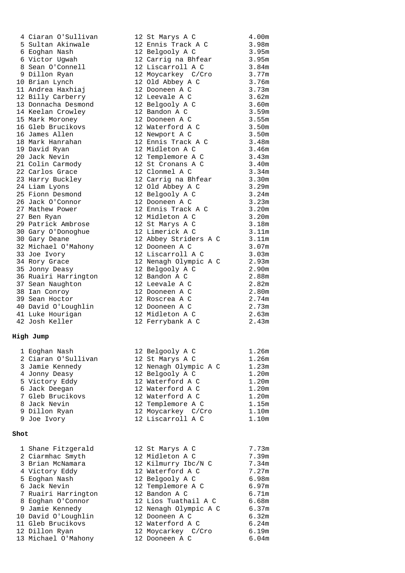#### **High Jump**

| 1 Eoghan Nash       | 12 Belgooly A C       | 1.26m |
|---------------------|-----------------------|-------|
| 2 Ciaran O'Sullivan | 12 St Marys A C       | 1.26m |
| 3 Jamie Kennedy     | 12 Nenagh Olympic A C | 1.23m |
| 4 Jonny Deasy       | 12 Belgooly A C       | 1.20m |
| 5 Victory Eddy      | 12 Waterford A C      | 1.20m |
| 6 Jack Deegan       | 12 Waterford A C      | 1.20m |
| 7 Gleb Brucikovs    | 12 Waterford A C      | 1.20m |
| 8 Jack Nevin        | 12 Templemore A C     | 1.15m |
| 9 Dillon Ryan       | 12 Moycarkey C/Cro    | 1.10m |
| 9 Joe Ivory         | 12 Liscarroll A C     | 1.10m |

#### **Shot**

| 1 Shane Fitzgerald  | 12 St Marys A C       | 7.73m |
|---------------------|-----------------------|-------|
| 2 Ciarmhac Smyth    | 12 Midleton A C       | 7.39m |
| 3 Brian McNamara    | 12 Kilmurry Ibc/N C   | 7.34m |
| 4 Victory Eddy      | 12 Waterford A C      | 7.27m |
| 5 Eoghan Nash       | 12 Belgooly A C       | 6.98m |
| 6 Jack Nevin        | 12 Templemore A C     | 6.97m |
| 7 Ruairi Harrington | 12 Bandon A C         | 6.71m |
| 8 Eoghan O'Connor   | 12 Lios Tuathail A C  | 6.68m |
| 9 Jamie Kennedy     | 12 Nenagh Olympic A C | 6.37m |
| 10 David O'Loughlin | 12 Dooneen A C        | 6.32m |
| 11 Gleb Brucikovs   | 12 Waterford A C      | 6.24m |
| 12 Dillon Ryan      | 12 Moycarkey C/Cro    | 6.19m |
| 13 Michael O'Mahony | 12 Dooneen A C        | 6.04m |
|                     |                       |       |

| 4 Ciaran O'Sullivan  | 12 St Marys A C           | 4.00m             |
|----------------------|---------------------------|-------------------|
| 5 Sultan Akinwale    | 12 Ennis Track A C        | 3.98m             |
| 6 Eoghan Nash        | 12 Belgooly A C           | 3.95m             |
| 6 Victor Uqwah       | 12 Carrig na Bhfear 3.95m |                   |
| 8 Sean O'Connell     | 12 Liscarroll A C         | 3.84m             |
| 9 Dillon Ryan        | 12 Moycarkey C/Cro        | 3.77m             |
| 10 Brian Lynch       | 12 Old Abbey A C          | 3.76m             |
| 11 Andrea Haxhiaj    | 12 Dooneen A C            | 3.73m             |
| 12 Billy Carberry    | 12 Leevale A C            | 3.62m             |
| 13 Donnacha Desmond  | 12 Belgooly A C           | 3.60m             |
| 14 Keelan Crowley    | 12 Bandon A C             | 3.59m             |
| 15 Mark Moroney      | 12 Dooneen A C            | 3.55m             |
| 16 Gleb Brucikovs    | 12 Waterford A C          | 3.50m             |
| 16 James Allen       | 12 Newport A C            | 3.50m             |
| 18 Mark Hanrahan     | 12 Ennis Track A C        | 3.48m             |
| 19 David Ryan        | 12 Midleton A C           | 3.46m             |
| 20 Jack Nevin        | 12 Templemore A C         | 3.43m             |
| 21 Colin Carmody     | 12 St Cronans A C         | 3.40m             |
| 22 Carlos Grace      | 12 Clonmel A C            | 3.34m             |
| 23 Harry Buckley     | 12 Carrig na Bhfear       | 3.30m             |
| 24 Liam Lyons        | 12 Old Abbey A C          | 3.29m             |
| 25 Fionn Desmond     | 12 Belgooly A C           | 3.24m             |
| 26 Jack O'Connor     | 12 Dooneen A C            | 3.23m             |
| 27 Mathew Power      | 12 Ennis Track A C        | 3.20m             |
| 27 Ben Ryan          | 12 Midleton A C           | 3.20m             |
| 29 Patrick Ambrose   | 12 St Marys A C           | 3.18m             |
| 30 Gary O'Donoghue   | 12 Limerick A C           | 3.11m             |
| 30 Gary Deane        | 12 Abbey Striders A C     | 3.11m             |
| 32 Michael O'Mahony  | 12 Dooneen A C            | 3.07 <sub>m</sub> |
| 33 Joe Ivory         | 12 Liscarroll A C         | 3.03m             |
| 34 Rory Grace        | 12 Nenagh Olympic A C     | 2.93 <sub>m</sub> |
| 35 Jonny Deasy       | 12 Belgooly A C           | 2.90m             |
| 36 Ruairi Harrington | 12 Bandon A C             | 2.88m             |
| 37 Sean Naughton     | 12 Leevale A C            | 2.82m             |
| 38 Ian Conroy        | 12 Dooneen A C            | 2.80m             |
| 39 Sean Hoctor       | 12 Roscrea A C            | 2.74m             |
| 40 David O'Loughlin  | 12 Dooneen A C            | 2.73m             |
| 41 Luke Hourigan     | 12 Midleton A C           | 2.63m             |
| 42 Josh Keller       | 12 Ferrybank A C          | 2.43m             |

| 12 Belgooly A C       | 1.26t             |
|-----------------------|-------------------|
| 12 St Marys A C       | 1.26t             |
| 12 Nenagh Olympic A C | 1.23r             |
| 12 Belgooly A C       | 1.20 <sub>I</sub> |
| 12 Waterford A C      | 1.20 <sub>t</sub> |
| 12 Waterford A C      | 1.20 <sub>I</sub> |
| 12 Waterford A C      | 1.20 <sub>t</sub> |
| 12 Templemore A C     | 1.15m             |
| 12 Moycarkey C/Cro    | 1.10r             |
| 12 Liscarroll A C     | 1.10 <sub>t</sub> |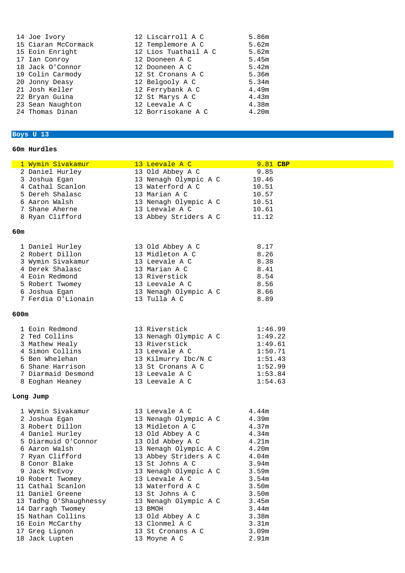| 14 Joe Ivory        | 12 Liscarroll A C    | 5.86m |
|---------------------|----------------------|-------|
| 15 Ciaran McCormack | 12 Templemore A C    | 5.62m |
| 15 Eoin Enright     | 12 Lios Tuathail A C | 5.62m |
| 17 Ian Conroy       | 12 Dooneen A C       | 5.45m |
| 18 Jack O'Connor    | 12 Dooneen A C       | 5.42m |
| 19 Colin Carmody    | 12 St Cronans A C    | 5.36m |
| 20 Jonny Deasy      | 12 Belgooly A C      | 5.34m |
| 21 Josh Keller      | 12 Ferrybank A C     | 4.49m |
| 22 Bryan Guina      | 12 St Marys A C      | 4.43m |
| 23 Sean Naughton    | 12 Leevale A C       | 4.38m |
| 24 Thomas Dinan     | 12 Borrisokane A C   | 4.20m |

# **Boys U 13**

### **60m Hurdles**

|      | 1 Wymin Sivakamur      | 13 Leevale A C        | 9.81 CBP          |  |
|------|------------------------|-----------------------|-------------------|--|
|      | 2 Daniel Hurley        | 13 Old Abbey A C      | 9.85              |  |
|      | 3 Joshua Eqan          | 13 Nenagh Olympic A C | 10.46             |  |
|      | 4 Cathal Scanlon       | 13 Waterford A C      | 10.51             |  |
|      | 5 Dereh Shalasc        | 13 Marian A C         | 10.57             |  |
|      | 6 Aaron Walsh          | 13 Nenagh Olympic A C | 10.51             |  |
|      | 7 Shane Aherne         | 13 Leevale A C        | 10.61             |  |
|      | 8 Ryan Clifford        | 13 Abbey Striders A C | 11.12             |  |
|      |                        |                       |                   |  |
| 60m  |                        |                       |                   |  |
|      |                        |                       |                   |  |
|      | 1 Daniel Hurley        | 13 Old Abbey A C      | 8.17              |  |
|      | 2 Robert Dillon        | 13 Midleton A C       | 8.26              |  |
|      | 3 Wymin Sivakamur      | 13 Leevale A C        | 8.38              |  |
|      | 4 Derek Shalasc        | 13 Marian A C         | 8.41              |  |
|      | 4 Eoin Redmond         | 13 Riverstick         | 8.54              |  |
|      | 5 Robert Twomey        | 13 Leevale A C        | 8.56              |  |
|      | 6 Joshua Egan          | 13 Nenagh Olympic A C | 8.66              |  |
|      | 7 Ferdia O'Lionain     | 13 Tulla A C          | 8.89              |  |
|      |                        |                       |                   |  |
| 600m |                        |                       |                   |  |
|      |                        |                       |                   |  |
|      | 1 Eoin Redmond         | 13 Riverstick         | 1:46.99           |  |
|      | 2 Ted Collins          | 13 Nenagh Olympic A C | 1:49.22           |  |
|      | 3 Mathew Healy         | 13 Riverstick         | 1:49.61           |  |
|      | 4 Simon Collins        | 13 Leevale A C        | 1:50.71           |  |
|      | 5 Ben Whelehan         | 13 Kilmurry Ibc/N C   | 1:51.43           |  |
|      | 6 Shane Harrison       | 13 St Cronans A C     | 1:52.99           |  |
|      | 7 Diarmaid Desmond     | 13 Leevale A C        | 1:53.84           |  |
|      | 8 Eoghan Heaney        | 13 Leevale A C        | 1:54.63           |  |
|      |                        |                       |                   |  |
|      | Long Jump              |                       |                   |  |
|      |                        |                       |                   |  |
|      | 1 Wymin Sivakamur      | 13 Leevale A C        | 4.44m             |  |
|      | 2 Joshua Egan          | 13 Nenagh Olympic A C | 4.39m             |  |
|      | 3 Robert Dillon        | 13 Midleton A C       | 4.37m             |  |
|      | 4 Daniel Hurley        | 13 Old Abbey A C      | 4.34m             |  |
|      | 5 Diarmuid O'Connor    | 13 Old Abbey A C      | 4.21m             |  |
|      | 6 Aaron Walsh          | 13 Nenagh Olympic A C | 4.20m             |  |
|      | 7 Ryan Clifford        | 13 Abbey Striders A C | 4.04m             |  |
|      | 8 Conor Blake          | 13 St Johns A C       | 3.94m             |  |
|      | 9 Jack McEvoy          | 13 Nenagh Olympic A C | 3.59m             |  |
|      | 10 Robert Twomey       | 13 Leevale A C        | 3.54m             |  |
|      | 11 Cathal Scanlon      | 13 Waterford A C      | 3.50m             |  |
|      | 11 Daniel Greene       | 13 St Johns A C       | 3.50m             |  |
|      | 13 Tadhg O'Shaughnessy | 13 Nenagh Olympic A C | 3.45m             |  |
|      | 14 Darragh Twomey      | 13 BMOH               | 3.44m             |  |
|      | 15 Nathan Collins      | 13 Old Abbey A C      | 3.38m             |  |
|      | 16 Eoin McCarthy       | 13 Clonmel A C        | 3.31 <sub>m</sub> |  |
|      | 17 Greg Lignon         | 13 St Cronans A C     | 3.09m             |  |
|      | 18 Jack Lupten         | 13 Moyne A C          | 2.91m             |  |
|      |                        |                       |                   |  |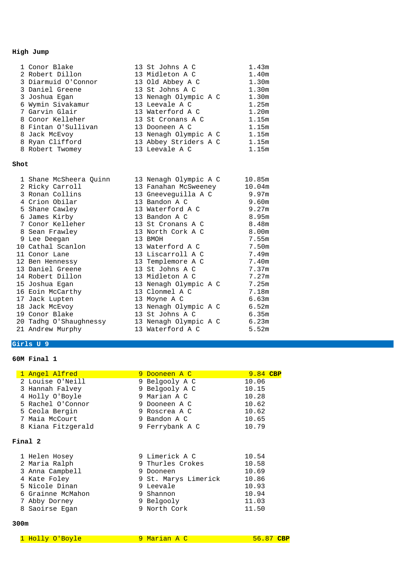# **High Jump**

| 1 Conor Blake       | 13 St Johns A C       | 1.43m             |
|---------------------|-----------------------|-------------------|
| 2 Robert Dillon     | 13 Midleton A C       | 1.40 <sub>m</sub> |
| 3 Diarmuid O'Connor | 13 Old Abbey A C      | 1.30m             |
| 3 Daniel Greene     | 13 St Johns A C       | 1.30 <sub>m</sub> |
| 3 Joshua Egan       | 13 Nenagh Olympic A C | 1.30m             |
| 6 Wymin Sivakamur   | 13 Leevale A C        | 1.25m             |
| 7 Garvin Glair      | 13 Waterford A C      | 1.20m             |
| 8 Conor Kelleher    | 13 St Cronans A C     | 1.15m             |
| 8 Fintan O'Sullivan | 13 Dooneen A C        | 1.15m             |
| 8 Jack McEvoy       | 13 Nenagh Olympic A C | 1.15m             |
| 8 Ryan Clifford     | 13 Abbey Striders A C | 1.15m             |
| 8 Robert Twomey     | 13 Leevale A C        | 1.15m             |

#### **Shot**

| 1 Shane McSheera Quinn | 13 Nenagh Olympic A C                 | 10.85m |
|------------------------|---------------------------------------|--------|
| 2 Ricky Carroll        | 13 Fanahan McSweeney           10.04m |        |
| 3 Ronan Collins        | 13 Gneeveguilla A C           9.97m   |        |
| 4 Crion Obilar         | 13 Bandon A C                         | 9.60m  |
| 5 Shane Cawley         | 13 Waterford A C                      | 9.27m  |
| 6 James Kirby          | 13 Bandon A C                         | 8.95m  |
| 7 Conor Kelleher       | 13 St Cronans A C                     | 8.48m  |
| 8 Sean Frawley         | 13 North Cork A C                     | 8.00m  |
| 9 Lee Deegan           | 13 BMOH                               | 7.55m  |
| 10 Cathal Scanlon      | 13 Waterford A C                      | 7.50m  |
| 11 Conor Lane          | 13 Liscarroll A C                     | 7.49m  |
| 12 Ben Hennessy        | 13 Templemore A C                     | 7.40m  |
| 13 Daniel Greene       | 13 St Johns A C                       | 7.37m  |
| 14 Robert Dillon       | 13 Midleton A C                       | 7.27m  |
| 15 Joshua Egan         | 13 Nenagh Olympic A C                 | 7.25m  |
| 16 Eoin McCarthy       | 13 Clonmel A C                        | 7.18m  |
| 17 Jack Lupten         | 13 Moyne A C                          | 6.63m  |
| 18 Jack McEvoy         | 13 Nenagh Olympic A C                 | 6.52m  |
| 19 Conor Blake         | 13 St Johns A C                       | 6.35m  |
|                        |                                       | 6.23m  |
| 21 Andrew Murphy       | 13 Waterford A C                      | 5.52m  |

# **Girls U 9**

#### **60M Final 1**

| 1 Angel Alfred     | 9 Dooneen A C        | 9.84 CBP |  |
|--------------------|----------------------|----------|--|
| 2 Louise O'Neill   | 9 Belgooly A C       | 10.06    |  |
| 3 Hannah Falvey    | 9 Belgooly A C       | 10.15    |  |
| 4 Holly O'Boyle    | 9 Marian A C         | 10.28    |  |
| 5 Rachel O'Connor  | 9 Dooneen A C        | 10.62    |  |
| 5 Ceola Bergin     | 9 Roscrea A C        | 10.62    |  |
| 7 Maia McCourt     | 9 Bandon A C         | 10.65    |  |
| 8 Kiana Fitzgerald | 9 Ferrybank A C      | 10.79    |  |
| Final 2            |                      |          |  |
|                    |                      |          |  |
| 1 Helen Hosey      | 9 Limerick A C       | 10.54    |  |
| 2 Maria Ralph      | 9 Thurles Crokes     | 10.58    |  |
| 3 Anna Campbell    | 9 Dooneen            | 10.69    |  |
| 4 Kate Foley       | 9 St. Marys Limerick | 10.86    |  |
| 5 Nicole Dinan     | 9 Leevale            | 10.93    |  |
| 6 Grainne McMahon  | 9 Shannon            | 10.94    |  |
| 7 Abby Dorney      | 9 Belgooly           | 11.03    |  |
| 8 Saoirse Egan     | 9 North Cork         | 11.50    |  |
|                    |                      |          |  |

| 1 Holly O'Boyle | 9 Marian A C | $56.87$ CBP |
|-----------------|--------------|-------------|
|-----------------|--------------|-------------|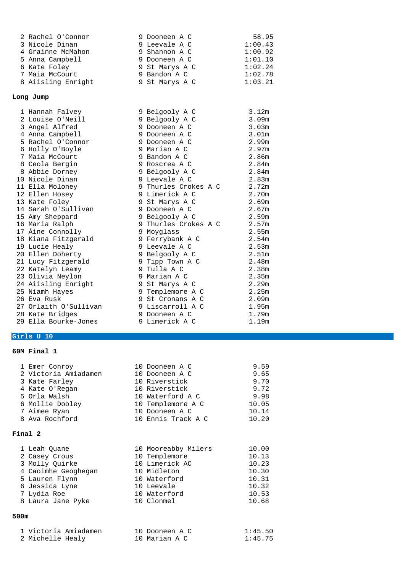| 2 Rachel O'Connor     | 9 Dooneen A C        | 58.95             |
|-----------------------|----------------------|-------------------|
| 3 Nicole Dinan        | 9 Leevale A C        | 1:00.43           |
| 4 Grainne McMahon     | 9 Shannon A C        | 1:00.92           |
| 5 Anna Campbell       | 9 Dooneen A C        | 1:01.10           |
| 6 Kate Foley          | 9 St Marys A C       | 1:02.24           |
| 7 Maia McCourt        | 9 Bandon A C         | 1:02.78           |
| 8 Aiisling Enright    | 9 St Marys A C       | 1:03.21           |
| Long Jump             |                      |                   |
| 1 Hannah Falvey       | 9 Belgooly A C       | 3.12m             |
| 2 Louise O'Neill      | 9 Belgooly A C       | 3.09m             |
| 3 Angel Alfred        | 9 Dooneen A C        | 3.03m             |
| 4 Anna Campbell       | 9 Dooneen A C        | 3.01 <sub>m</sub> |
| 5 Rachel O'Connor     | 9 Dooneen A C        | 2.99m             |
| 6 Holly O'Boyle       | 9 Marian A C         | 2.97m             |
| 7 Maia McCourt        | 9 Bandon A C         | 2.86m             |
| 8 Ceola Bergin        | 9 Roscrea A C        | 2.84m             |
| 8 Abbie Dorney        | 9 Belgooly A C       | 2.84m             |
| 10 Nicole Dinan       | 9 Leevale A C        | 2.83m             |
| 11 Ella Moloney       | 9 Thurles Crokes A C | 2.72m             |
| 12 Ellen Hosey        | 9 Limerick A C       | 2.70m             |
| 13 Kate Foley         | 9 St Marys A C       | 2.69m             |
| 14 Sarah O'Sullivan   | 9 Dooneen A C        | 2.67m             |
| 15 Amy Sheppard       | 9 Belgooly A C       | 2.59m             |
| 16 Maria Ralph        | 9 Thurles Crokes A C | 2.57m             |
| 17 Áine Connolly      | 9 Moyglass           | 2.55m             |
| 18 Kiana Fitzgerald   | 9 Ferrybank A C      | 2.54m             |
| 19 Lucie Healy        | 9 Leevale A C        | 2.53m             |
| 20 Ellen Doherty      | 9 Belgooly A C       | 2.51m             |
| 21 Lucy Fitzgerald    | 9 Tipp Town A C      | 2.48m             |
| 22 Katelyn Leamy      | 9 Tulla A C          | 2.38m             |
| 23 Olivia Neylon      | 9 Marian A C         | 2.35m             |
| 24 Aiisling Enright   | 9 St Marys A C       | 2.29m             |
| 25 Niamh Hayes        | 9 Templemore A C     | 2.25m             |
| 26 Eva Rusk           | 9 St Cronans A C     | 2.09m             |
| 27 Orlaith O'Sullivan | 9 Liscarroll A C     | 1.95m             |
| 28 Kate Bridges       | 9 Dooneen A C        | 1.79m             |
| 29 Ella Bourke-Jones  | 9 Limerick A C       | 1.19m             |

# **Girls U 10**

# **60M Final 1**

|         | 1 Emer Conroy        | 10 Dooneen A C      | 9.59  |
|---------|----------------------|---------------------|-------|
|         | 2 Victoria Amiadamen | 10 Dooneen A C      | 9.65  |
|         | 3 Kate Farley        | 10 Riverstick       | 9.70  |
|         | 4 Kate O'Regan       | 10 Riverstick       | 9.72  |
|         | 5 Orla Walsh         | 10 Waterford A C    | 9.98  |
|         | 6 Mollie Dooley      | 10 Templemore A C   | 10.05 |
|         | 7 Aimee Ryan         | 10 Dooneen A C      | 10.14 |
|         | 8 Ava Rochford       | 10 Ennis Track A C  | 10.20 |
|         |                      |                     |       |
| Final 2 |                      |                     |       |
|         |                      |                     |       |
|         | 1 Leah Quane         | 10 Mooreabby Milers | 10.00 |
|         |                      |                     |       |
|         | 2 Casey Crous        | 10 Templemore       | 10.13 |
|         | 3 Molly Ouirke       | 10 Limerick AC      | 10.23 |
|         | 4 Caoimhe Geoghegan  | 10 Midleton         | 10.30 |
|         | 5 Lauren Flynn       | 10 Waterford        | 10.31 |
|         | 6 Jessica Lyne       | 10 Leevale          | 10.32 |
|         | 7 Lydia Roe          | 10 Waterford        | 10.53 |
|         | 8 Laura Jane Pyke    | 10 Clonmel          | 10.68 |

| 1 Victoria Amiadamen | 10 Dooneen A C | 1:45.50 |
|----------------------|----------------|---------|
| 2 Michelle Healy     | 10 Marian A C  | 1:45.75 |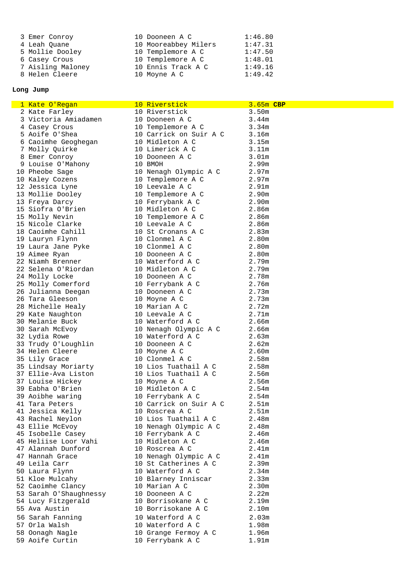| 3 Emer Conroy     | 10 Dooneen A C       | 1:46.80 |
|-------------------|----------------------|---------|
| 4 Leah Ouane      | 10 Mooreabbey Milers | 1:47.31 |
| 5 Mollie Dooley   | 10 Templemore A C    | 1:47.50 |
| 6 Casey Crous     | 10 Templemore A C    | 1:48.01 |
| 7 Aisling Maloney | 10 Ennis Track A C   | 1:49.16 |
| 8 Helen Cleere    | 10 Moyne A C         | 1:49.42 |

# **Long Jump**

| 1 Kate O'Regan                      | 10 Riverstick                             | 3.65m CBP         |
|-------------------------------------|-------------------------------------------|-------------------|
| 2 Kate Farley                       | 10 Riverstick                             | 3.50m             |
| 3 Victoria Amiadamen                | 10 Dooneen A C                            | 3.44m             |
| 4 Casey Crous                       | 10 Templemore A C                         | 3.34 <sub>m</sub> |
| 5 Aoife O'Shea                      | 10 Carrick on Suir A C                    | 3.16m             |
| 6 Caoimhe Geoghegan                 | 10 Midleton A C                           | 3.15m             |
| 7 Molly Quirke                      | 10 Limerick A C                           | 3.11m             |
| 8 Emer Conroy                       | 10 Dooneen A C                            | 3.01 <sub>m</sub> |
| 9 Louise O'Mahony                   | 10 BMOH                                   | 2.99m             |
| 10 Pheobe Sage                      | 10 Nenagh Olympic A C                     | 2.97 <sub>m</sub> |
| 10 Kaley Cozens                     | 10 Templemore A C                         | 2.97m             |
| 12 Jessica Lyne                     | 10 Leevale A C                            | 2.91m             |
| 13 Mollie Dooley                    | 10 Templemore A C                         | 2.90m             |
| 13 Freya Darcy                      | 10 Ferrybank A C                          | 2.90m             |
| 15 Siofra O'Brien                   | 10 Midleton A C                           | 2.86m             |
| 15 Molly Nevin                      | 10 Templemore A C                         | 2.86m             |
| 15 Nicole Clarke                    | 10 Leevale A C                            | 2.86m             |
| 18 Caoimhe Cahill                   | 10 St Cronans A C                         | 2.83m             |
| 19 Lauryn Flynn                     | 10 Clonmel A C                            | 2.80m             |
| 19 Laura Jane Pyke                  | 10 Clonmel A C                            | 2.80m             |
|                                     |                                           |                   |
| 19 Aimee Ryan<br>22 Niamh Brenner   | 10 Dooneen A C<br>10 Waterford A C        | 2.80m             |
| 22 Selena O'Riordan                 |                                           | 2.79m             |
|                                     | 10 Midleton A C                           | 2.79m             |
| 24 Molly Locke                      | 10 Dooneen A C                            | 2.78m             |
| 25 Molly Comerford                  | 10 Ferrybank A C                          | 2.76m             |
| 26 Julianna Deegan                  | 10 Dooneen A C                            | 2.73m             |
| 26 Tara Gleeson                     | 10 Moyne A C                              | 2.73m             |
| 28 Michelle Healy                   | 10 Marian A C                             | 2.72m             |
| 29 Kate Naughton<br>30 Melanie Buck | 10 Leevale A C<br>10 Waterford A C        | 2.71m<br>2.66m    |
|                                     |                                           |                   |
| 30 Sarah McEvoy<br>32 Lydia Rowe    | 10 Nenagh Olympic A C<br>10 Waterford A C | 2.66m<br>2.63m    |
| 33 Trudy O'Loughlin                 | 10 Dooneen A C                            | 2.62m             |
| 34 Helen Cleere                     | 10 Moyne A C                              | 2.60m             |
| 35 Lily Grace                       | 10 Clonmel A C                            | 2.58m             |
| 35 Lindsay Moriarty                 | 10 Lios Tuathail A C                      | 2.58m             |
| 37 Ellie-Ava Liston                 | 10 Lios Tuathail A C                      | 2.56m             |
| 37 Louise Hickey                    | 10 Moyne A C                              | 2.56m             |
| 39 Eabha O'Brien                    | 10 Midleton A C                           | 2.54m             |
| 39 Aoibhe waring                    | 10 Ferrybank A C                          | 2.54m             |
| 41 Tara Peters                      | 10 Carrick on Suir A C                    | 2.51m             |
| 41 Jessica Kelly                    | 10 Roscrea A C                            | 2.51 <sub>m</sub> |
| 43 Rachel Neylon                    | 10 Lios Tuathail A C                      | 2.48m             |
| 43 Ellie McEvoy                     | 10 Nenagh Olympic A C                     | 2.48m             |
| 45 Isobelle Casey                   | 10 Ferrybank A C                          | 2.46m             |
| 45 Heliise Loor Vahi                | 10 Midleton A C                           | 2.46m             |
| 47 Alannah Dunford                  | 10 Roscrea A C                            | 2.41m             |
| 47 Hannah Grace                     | 10 Nenagh Olympic A C                     | 2.41m             |
| 49 Leila Carr                       | 10 St Catherines A C                      | 2.39m             |
| 50 Laura Flynn                      | 10 Waterford A C                          | 2.34m             |
| 51 Kloe Mulcahy                     | 10 Blarney Inniscar                       | 2.33m             |
| 52 Caoimhe Clancy                   | 10 Marian A C                             | 2.30m             |
| 53 Sarah O'Shaughnessy              | 10 Dooneen A C                            | 2.22m             |
| 54 Lucy Fitzgerald                  | 10 Borrisokane A C                        | 2.19m             |
| 55 Ava Austin                       | 10 Borrisokane A C                        | 2.10m             |
| 56 Sarah Fanning                    | 10 Waterford A C                          | 2.03m             |
| 57 Orla Walsh                       | 10 Waterford A C                          | 1.98m             |
| 58 Oonagh Nagle                     | 10 Grange Fermoy A C                      | 1.96m             |
| 59 Aoife Curtin                     | 10 Ferrybank A C                          | 1.91m             |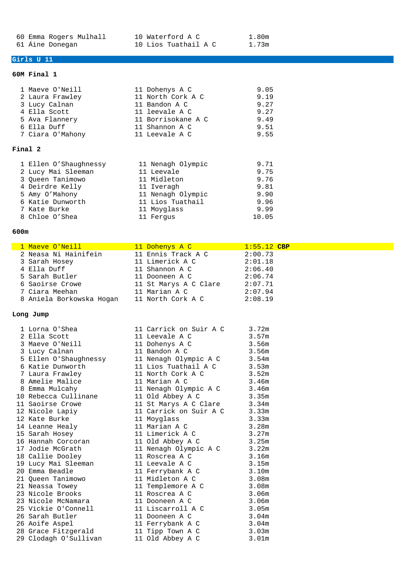60 Emma Rogers Mulhall 10 Waterford A C 1.80m<br>61 Áine Donegan 10 Lios Tuathail A C 1.73m 10 Lios Tuathail A C

# **Girls U 11**

#### **60M Final 1**

| 1 Maeve O'Neill  | 11 Dohenys A C     | 9.05 |  |  |  |  |
|------------------|--------------------|------|--|--|--|--|
| 2 Laura Frawley  | 11 North Cork A C  | 9.19 |  |  |  |  |
| 3 Lucy Calnan    | 11 Bandon A C      | 9.27 |  |  |  |  |
| 4 Ella Scott     | 11 leevale A C     | 9.27 |  |  |  |  |
| 5 Ava Flannery   | 11 Borrisokane A C | 9.49 |  |  |  |  |
| 6 Ella Duff      | 11 Shannon A C     | 9.51 |  |  |  |  |
| 7 Ciara O'Mahony | 11 Leevale A C     | 9.55 |  |  |  |  |
| Final 2          |                    |      |  |  |  |  |

| 11 Nenagh Olympic | 9.71  |
|-------------------|-------|
| 11 Leevale        | 9.75  |
| 11 Midleton       | 9.76  |
| 11 Iveragh        | 9.81  |
| 11 Nenagh Olympic | 9.90  |
| 11 Lios Tuathail  | 9.96  |
| 11 Moyglass       | 9.99  |
| 11 Fergus         | 10.05 |
|                   |       |

#### **600m**

| <mark>1 Maeve O'Neill</mark> | 11 Dohenys A C        | $1:55.12$ CBP |
|------------------------------|-----------------------|---------------|
| 2 Neasa Ni Hainifein         | 11 Ennis Track A C    | 2:00.73       |
| 3 Sarah Hosey                | 11 Limerick A C       | 2:01.18       |
| 4 Ella Duff                  | 11 Shannon A C        | 2:06.40       |
| 5 Sarah Butler               | 11 Dooneen A C        | 2:06.74       |
| 6 Saoirse Crowe              | 11 St Marys A C Clare | 2:07.71       |
| 7 Ciara Meehan               | 11 Marian A C         | 2:07.94       |
| 8 Aniela Borkowska Hogan     | 11 North Cork A C     | 2:08.19       |

#### **Long Jump**

| 1 Lorna O'Shea                                                                                                                                                                                                                                       | 11 Carrick on Suir A C | 3.72m |
|------------------------------------------------------------------------------------------------------------------------------------------------------------------------------------------------------------------------------------------------------|------------------------|-------|
| 2 Ella Scott 11 Leevale A C 3.57m<br>3 Maeve O'Neill 11 Dohenys A C 3.56m                                                                                                                                                                            |                        |       |
|                                                                                                                                                                                                                                                      |                        |       |
|                                                                                                                                                                                                                                                      |                        |       |
|                                                                                                                                                                                                                                                      |                        |       |
| 3 Lucy Calnan<br>5 Ellen O'Shaughnessy<br>5 Ellen O'Shaughnessy<br>6 Katie Dunworth<br>7 Laura Frawlev<br>11 North Oil I I C<br>11 North Oil I C<br>11 North Oil I C<br>11 North Oil I C<br>11 North Oil I C<br>11 North Oil I C<br>11 North Oil I C |                        |       |
|                                                                                                                                                                                                                                                      |                        |       |
|                                                                                                                                                                                                                                                      |                        |       |
| 7 Laura Frawley 11 North Cork A C 3.52m<br>8 Amelie Malice 11 Marian A C 3.46m<br>8 Emma Mulcahy 11 Nenagh Olympic A C 3.46m                                                                                                                         |                        |       |
| 10 Rebecca Cullinane 11 Old Abbey A C                                                                                                                                                                                                                | 3.35m                  |       |
| 11 Saoirse Crowe 11 St Marys A C Clare 3.34m                                                                                                                                                                                                         |                        |       |
|                                                                                                                                                                                                                                                      |                        |       |
| 12 Kate Burke                                                                                                                                                                                                                                        | 11 Moyglass<br>3.33m   |       |
| 14 Leanne Healy<br>15 Sarah Hosey                                                                                                                                                                                                                    | 11 Marian A C          | 3.28m |
|                                                                                                                                                                                                                                                      | 11 Limerick A C 3.27m  |       |
|                                                                                                                                                                                                                                                      |                        |       |
|                                                                                                                                                                                                                                                      |                        |       |
|                                                                                                                                                                                                                                                      |                        |       |
| 19 Lucy Mai Sleeman 11 Leevale A C                                                                                                                                                                                                                   | 3.15m                  |       |
| 20 Emma Beadle                                                                                                                                                                                                                                       | 11 Ferrybank A C 3.10m |       |
|                                                                                                                                                                                                                                                      |                        |       |
|                                                                                                                                                                                                                                                      |                        |       |
| 23 Nicole Brooks                                                                                                                                                                                                                                     | 11 Roscrea A C         | 3.06m |
| 23 Nicole McNamara                     11 Dooneen A C                                                                                                                                                                                                | 3.06m                  |       |
| 25 Vickie O'Connell 11 Liscarroll A C 3.05m                                                                                                                                                                                                          |                        |       |
| 26 Sarah Butler<br>11 Dooneen A C                                                                                                                                                                                                                    | 3.04m                  |       |
| 26 Aoife Aspel                                                                                                                                                                                                                                       | 11 Ferrybank A C 3.04m |       |
|                                                                                                                                                                                                                                                      |                        |       |
|                                                                                                                                                                                                                                                      |                        |       |
|                                                                                                                                                                                                                                                      |                        |       |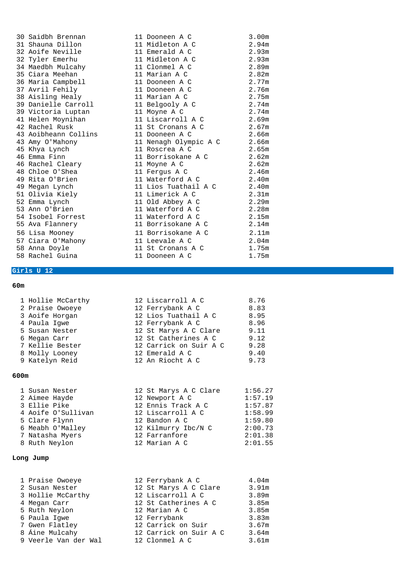| 30 Saidbh Brennan                                        | 11 Dooneen A C        | 3.00 <sub>m</sub> |
|----------------------------------------------------------|-----------------------|-------------------|
| 31 Shauna Dillon                                         | 11 Midleton A C       | 2.94m             |
| 32 Aoife Neville                                         | 11 Emerald A C        | 2.93m             |
| 32 Tyler Emerhu                                          | 11 Midleton A C       | 2.93m             |
| 34 Maedbh Mulcahy                         11 Clonmel A C |                       | 2.89m             |
| 35 Ciara Meehan                                          | 11 Marian A C         | 2.82m             |
| 36 Maria Campbell                                        | 11 Dooneen A C        | 2.77m             |
| 37 Avril Fehily                                          | 11 Dooneen A C        | 2.76m             |
| 38 Aisling Healy                                         | 11 Marian A C         | 2.75m             |
| 39 Danielle Carroll 11 Belgooly A C                      |                       | 2.74m             |
| 39 Victoria Luptan 11 Moyne A C                          |                       | 2.74m             |
|                                                          |                       | 2.69m             |
| 42 Rachel Rusk                                           | 11 St Cronans A C     | 2.67m             |
| 43 Aoibheann Collins 11 Dooneen A C                      | 2.66m                 |                   |
| 43 Amy O'Mahony                                          | 11 Nenagh Olympic A C | 2.66m             |
| 45 Khya Lynch                                            | 11 Roscrea A C        | 2.65m             |
| 46 Emma Finn                                             | 11 Borrisokane A C    | 2.62m             |
| 46 Rachel Cleary 11 Moyne A C                            |                       | 2.62m             |
| 48 Chloe O'Shea                                          | 11 Fergus A C         | 2.46m             |
| 49 Rita O'Brien                                          | 11 Waterford A C      | 2.40m             |
| 49 Megan Lynch                                           | 11 Lios Tuathail A C  | 2.40 <sub>m</sub> |
| 51 Olivia Kiely                                          | 11 Limerick A C       | 2.31 <sub>m</sub> |
| 52 Emma Lynch                                            | 11 Old Abbey A C      | 2.29m             |
| 53 Ann O'Brien                                           | 11 Waterford A C      | 2.28m             |
| 54 Isobel Forrest                                        | 11 Waterford A C      | 2.15m             |
| 55 Ava Flannery                                          | 11 Borrisokane A C    | 2.14m             |
| 56 Lisa Mooney                                           | 11 Borrisokane A C    | 2.11 <sub>m</sub> |
| 57 Ciara O'Mahony 11 Leevale A C                         |                       | 2.04 <sub>m</sub> |
| 58 Anna Doyle                                            | 11 St Cronans A C     | 1.75m             |
| 58 Rachel Guina                                          | 11 Dooneen A C        | 1.75m             |

# **Girls U 12**

## **60m**

| 1 Hollie McCarthy | 12 Liscarroll A C      | 8.76 |
|-------------------|------------------------|------|
| 2 Praise Owoeye   | 12 Ferrybank A C       | 8.83 |
| 3 Aoife Horgan    | 12 Lios Tuathail A C   | 8.95 |
| 4 Paula Iqwe      | 12 Ferrybank A C       | 8.96 |
| 5 Susan Nester    | 12 St Marys A C Clare  | 9.11 |
| 6 Megan Carr      | 12 St Catherines A C   | 9.12 |
| 7 Kellie Bester   | 12 Carrick on Suir A C | 9.28 |
| 8 Molly Looney    | 12 Emerald A C         | 9.40 |
| 9 Katelyn Reid    | 12 An Riocht A C       | 9.73 |
|                   |                        |      |

### **600m**

|               | 1 Susan Nester     | 12 St Marys A C Clare | 1:56.27 |
|---------------|--------------------|-----------------------|---------|
|               | 2 Aimee Hayde      | 12 Newport A C        | 1:57.19 |
| 3 Ellie Pike  |                    | 12 Ennis Track A C    | 1:57.87 |
|               | 4 Aoife O'Sullivan | 12 Liscarroll A C     | 1:58.99 |
| 5 Clare Flynn |                    | 12 Bandon A C         | 1:59.80 |
|               | 6 Meabh O'Malley   | 12 Kilmurry Ibc/N C   | 2:00.73 |
|               | 7 Natasha Myers    | 12 Farranfore         | 2:01.38 |
| 8 Ruth Neylon |                    | 12 Marian A C         | 2:01.55 |
|               |                    |                       |         |

# **Long Jump**

| 1 Praise Owoeye      | 12 Ferrybank A C       | 4.04 <sub>m</sub> |
|----------------------|------------------------|-------------------|
| 2 Susan Nester       | 12 St Marys A C Clare  | 3.91m             |
| 3 Hollie McCarthy    | 12 Liscarroll A C      | 3.89m             |
| 4 Megan Carr         | 12 St Catherines A C   | 3.85m             |
| 5 Ruth Neylon        | 12 Marian A C          | 3.85m             |
| 6 Paula Iqwe         | 12 Ferrybank           | 3.83m             |
| 7 Gwen Flatley       | 12 Carrick on Suir     | 3.67m             |
| 8 Áine Mulcahy       | 12 Carrick on Suir A C | 3.64m             |
| 9 Veerle Van der Wal | 12 Clonmel A C         | 3.61m             |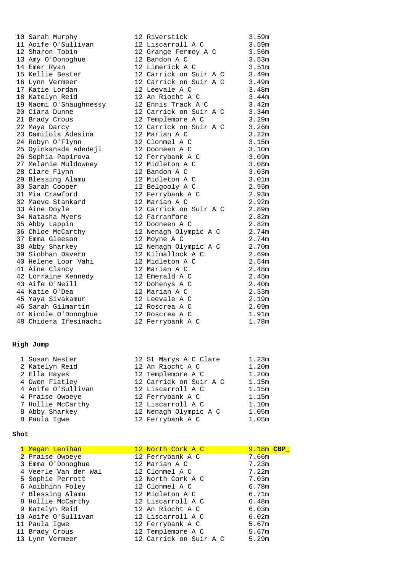#### **High Jump**

| 1 Susan Nester     | 12 St Marys A C Clare  | 1.23m |
|--------------------|------------------------|-------|
| 2 Katelyn Reid     | 12 An Riocht A C       | 1.20m |
| 2 Ella Hayes       | 12 Templemore A C      | 1.20m |
| 4 Gwen Flatley     | 12 Carrick on Suir A C | 1.15m |
| 4 Aoife O'Sullivan | 12 Liscarroll A C      | 1.15m |
| 4 Praise Owoeye    | 12 Ferrybank A C       | 1.15m |
| 7 Hollie McCarthy  | 12 Liscarroll A C      | 1.10m |
| 8 Abby Sharkey     | 12 Nenagh Olympic A C  | 1.05m |
| 8 Paula Iqwe       | 12 Ferrybank A C       | 1.05m |
|                    |                        |       |

#### **Shot**

| 1 Megan Lenihan      | 12 North Cork A C      | $9.18m$ CBP |
|----------------------|------------------------|-------------|
| 2 Praise Owoeye      | 12 Ferrybank A C       | 7.66m       |
| 3 Emma O'Donoghue    | 12 Marian A C          | 7.23m       |
| 4 Veerle Van der Wal | 12 Clonmel A C         | 7.22m       |
| 5 Sophie Perrott     | 12 North Cork A C      | 7.03m       |
| 6 Aoibhinn Foley     | 12 Clonmel A C         | 6.78m       |
| 7 Blessing Alamu     | 12 Midleton A C        | 6.71m       |
| 8 Hollie McCarthy    | 12 Liscarroll A C      | 6.48m       |
| 9 Katelyn Reid       | 12 An Riocht A C       | 6.03m       |
| 10 Aoife O'Sullivan  | 12 Liscarroll A C      | 6.02m       |
| 11 Paula Iqwe        | 12 Ferrybank A C       | 5.67m       |
| 11 Brady Crous       | 12 Templemore A C      | 5.67m       |
| 13 Lynn Vermeer      | 12 Carrick on Suir A C | 5.29m       |

| TO DATAIL MATPILY      | TO WINCTOCTOM                |                   |
|------------------------|------------------------------|-------------------|
| 11 Aoife O'Sullivan    | 12 Liscarroll A C            | 3.59m             |
| 12 Sharon Tobin        | 12 Grange Fermoy A C         | 3.56m             |
| 13 Amy O'Donoghue      | 12 Bandon A C                | 3.53m             |
| 14 Emer Ryan           | 12 Limerick A C              | 3.51m             |
| 15 Kellie Bester       | 12 Carrick on Suir A C 3.49m |                   |
| 16 Lynn Vermeer        | 12 Carrick on Suir A C 3.49m |                   |
| 17 Katie Lordan        | 12 Leevale A C               | 3.48m             |
| 18 Katelyn Reid        | 12 An Riocht A C             | 3.44m             |
| 19 Naomi O'Shaughnessy | 12 Ennis Track A C           | 3.42m             |
| 20 Ciara Dunne         | 12 Carrick on Suir A C 3.34m |                   |
| 21 Brady Crous         | 12 Templemore A C            | 3.29m             |
| 22 Maya Darcy          | 12 Carrick on Suir A C       | 3.26m             |
| 23 Damilola Adesina    | 12 Marian A C                | 3.22m             |
| 24 Robyn O'Flynn       | 12 Clonmel A C               | 3.15m             |
| 25 Oyinkansda Adedeji  | 12 Dooneen A C               | 3.10m             |
| 26 Sophia Papirova     | 12 Ferrybank A C             | 3.09m             |
| 27 Melanie Muldowney   | 12 Midleton A C              | 3.08m             |
| 28 Clare Flynn         | 12 Bandon A C                | 3.03m             |
| 29 Blessing Alamu      | 12 Midleton A C              | 3.01m             |
| 30 Sarah Cooper        | 12 Belgooly A C              | 2.95m             |
| 31 Mia Crawford        | 12 Ferrybank A C             | 2.93 <sub>m</sub> |
| 32 Maeve Stankard      | 12 Marian A C                | 2.92m             |
| 33 Áine Doyle          | 12 Carrick on Suir A C       | 2.89m             |
| 34 Natasha Myers       | 12 Farranfore                | 2.82m             |
| 35 Abby Lappin         | 12 Dooneen A C               | 2.82m             |
| 36 Chloe McCarthy      | 12 Nenagh Olympic A C        | 2.74m             |
| 37 Emma Gleeson        | 12 Moyne A C                 | 2.74m             |
| 38 Abby Sharkey        | 12 Nenagh Olympic A C        | 2.70m             |
| 39 Siobhan Davern      | 12 Kilmallock A C            | 2.69m             |
| 40 Helene Loor Vahi    | 12 Midleton A C              | 2.54m             |
| 41 Áine Clancy         | 12 Marian A C                | 2.48m             |
| 42 Lorraine Kennedy    | 12 Emerald A C               | 2.45m             |
| 43 Aife O'Neill        | 12 Dohenys A C               | 2.40m             |
| 44 Katie O'Dea         | 12 Marian A C                | 2.33m             |
| 45 Yaya Sivakamur      | 12 Leevale A C               | 2.19m             |
| 46 Sarah Gilmartin     | 12 Roscrea A C               | 2.09m             |
| 47 Nicole O'Donoghue   | 12 Roscrea A C               | 1.91m             |
| 48 Chidera Ifesinachi  | 12 Ferrybank A C             | 1.78m             |
|                        |                              |                   |

|  | 12 St Marys A C Clare  | $1.23\pi$         |
|--|------------------------|-------------------|
|  | 12 An Riocht A C       | 1.20 <sub>m</sub> |
|  | 12 Templemore A C      | 1.20 <sub>m</sub> |
|  | 12 Carrick on Suir A C | 1.15m             |
|  | 12 Liscarroll A C      | 1.15m             |
|  | 12 Ferrybank A C       | 1.15m             |
|  | 12 Liscarroll A C      | 1.10 <sub>m</sub> |
|  | 12 Nenagh Olympic A C  | 1.05m             |
|  | 12 Ferrybank A C       | 1.05m             |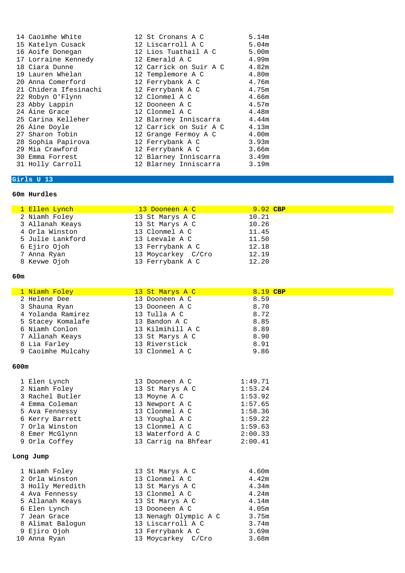| 14 Caoimhe White      | 12 St Cronans A C            | 5.14m             |
|-----------------------|------------------------------|-------------------|
| 15 Katelyn Cusack     | 12 Liscarroll A C            | 5.04m             |
| 16 Aoife Donegan      | 12 Lios Tuathail A C         | 5.00 <sub>m</sub> |
| 17 Lorraine Kennedy   | 12 Emerald A C               | 4.99m             |
| 18 Ciara Dunne        | 12 Carrick on Suir A C 4.82m |                   |
| 19 Lauren Whelan      | 12 Templemore A C            | 4.80m             |
| 20 Anna Comerford     | 12 Ferrybank A C             | 4.76m             |
| 21 Chidera Ifesinachi | 12 Ferrybank A C             | 4.75m             |
| 22 Robyn O'Flynn      | 12 Clonmel A C               | 4.66m             |
| 23 Abby Lappin        | 12 Dooneen A C               | 4.57m             |
| 24 Áine Grace         | 12 Clonmel A C               | 4.48m             |
| 25 Carina Kelleher    | 12 Blarney Inniscarra 4.44m  |                   |
| 26 Áine Doyle         | 12 Carrick on Suir A C 4.13m |                   |
| 27 Sharon Tobin       | 12 Grange Fermoy A C 4.00m   |                   |
| 28 Sophia Papirova    | 12 Ferrybank A C             | 3.93m             |
| 29 Mia Crawford       | 12 Ferrybank A C             | 3.66m             |
| 30 Emma Forrest       | 12 Blarney Inniscarra 3.49m  |                   |
| 31 Holly Carroll      | 12 Blarney Inniscarra 3.19m  |                   |

10 Anna Ryan 13 Moycarkey C/Cro 3.68m

# **Girls U 13**

## **60m Hurdles**

| 1 Ellen Lynch    | 13 Dooneen A C     | 9.92 CBP |  |
|------------------|--------------------|----------|--|
| 2 Niamh Foley    | 13 St Marys A C    | 10.21    |  |
| 3 Allanah Keays  | 13 St Marys A C    | 10.26    |  |
| 4 Orla Winston   | 13 Clonmel A C     | 11.45    |  |
| 5 Julie Lankford | 13 Leevale A C     | 11.50    |  |
| 6 Ejiro Ojoh     | 13 Ferrybank A C   | 12.18    |  |
| 7 Anna Ryan      | 13 Moycarkey C/Cro | 12.19    |  |
| 8 Kevwe Ojoh     | 13 Ferrybank A C   | 12.20    |  |

| 1 Niamh Foley     | 13 St Marys A C       | 8.19 CBP |
|-------------------|-----------------------|----------|
| 2 Helene Dee      | 13 Dooneen A C        | 8.59     |
| 3 Shauna Ryan     | 13 Dooneen A C        | 8.70     |
| 4 Yolanda Ramirez | 13 Tulla A C          | 8.72     |
| 5 Stacey Komalafe | 13 Bandon A C         | 8.85     |
| 6 Niamh Conlon    | 13 Kilmihill A C      | 8.89     |
| 7 Allanah Keays   | 13 St Marys A C       | 8.90     |
| 8 Lia Farley      | 13 Riverstick         | 8.91     |
| 9 Caoimhe Mulcahy | 13 Clonmel A C        | 9.86     |
| 600m              |                       |          |
| 1 Elen Lynch      | 13 Dooneen A C        | 1:49.71  |
| 2 Niamh Foley     | 13 St Marys A C       | 1:53.24  |
| 3 Rachel Butler   | 13 Moyne A C          | 1:53.92  |
| 4 Emma Coleman    | 13 Newport A C        | 1:57.65  |
| 5 Ava Fennessy    | 13 Clonmel A C        | 1:58.36  |
| 6 Kerry Barrett   | 13 Youghal A C        | 1:59.22  |
| 7 Orla Winston    | 13 Clonmel A C        | 1:59.63  |
| 8 Emer McGlynn    | 13 Waterford A C      | 2:00.33  |
| 9 Orla Coffey     | 13 Carrig na Bhfear   | 2:00.41  |
| Long Jump         |                       |          |
| 1 Niamh Foley     | 13 St Marys A C       | 4.60m    |
| 2 Orla Winston    | 13 Clonmel A C        | 4.42m    |
| 3 Holly Meredith  | 13 St Marys A C       | 4.34m    |
| 4 Ava Fennessy    | 13 Clonmel A C        | 4.24m    |
| 5 Allanah Keays   | 13 St Marys A C       | 4.14m    |
| 6 Elen Lynch      | 13 Dooneen A C        | 4.05m    |
| 7 Jean Grace      | 13 Nenagh Olympic A C | 3.75m    |
| 8 Alimat Balogun  | 13 Liscarroll A C     | 3.74m    |
| 9 Ejiro Ojoh      | 13 Ferrybank A C      | 3.69m    |